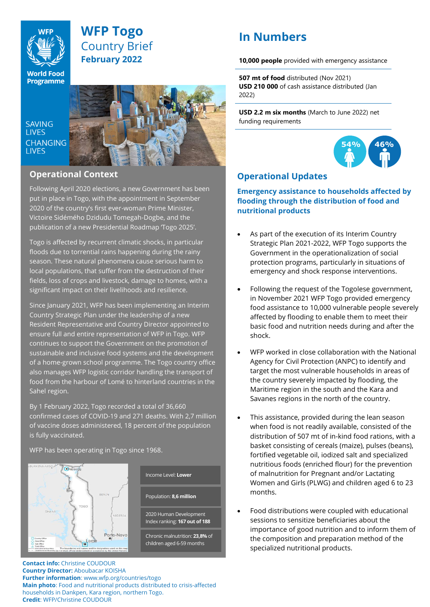

## **WFP Togo** Country Brief **February 2022**

**World Food Programme** 

**SAVING LIVES CHANGING LIVES** 



## **Operational Context**

Following April 2020 elections, a new Government has been put in place in Togo, with the appointment in September 2020 of the country's first ever-woman Prime Minister, Victoire Sidémého Dzidudu Tomegah-Dogbe, and the publication of a new Presidential Roadmap 'Togo 2025'.

Togo is affected by recurrent climatic shocks, in particular floods due to torrential rains happening during the rainy season. These natural phenomena cause serious harm to local populations, that suffer from the destruction of their fields, loss of crops and livestock, damage to homes, with a significant impact on their livelihoods and resilience.

Since January 2021, WFP has been implementing an Interim Country Strategic Plan under the leadership of a new Resident Representative and Country Director appointed to ensure full and entire representation of WFP in Togo. WFP continues to support the Government on the promotion of sustainable and inclusive food systems and the development of a home-grown school programme. The Togo country office also manages WFP logistic corridor handling the transport of food from the harbour of Lomé to hinterland countries in the Sahel region.

By 1 February 2022, Togo recorded a total of 36,660 confirmed cases of COVID-19 and 271 deaths. With 2,7 million of vaccine doses administered, 18 percent of the population is fully vaccinated.

WFP has been operating in Togo since 1968.



2020 Human Development Index ranking: **167 out of 188** Chronic malnutrition: **23,8%** of Population: **8,6 million** Income Level: **Lower** 

children aged 6-59 months

**Contact info:** Christine COUDOUR **Country Director:** Aboubacar KOISHA **Further information**: www.wfp.org/countries/togo **Main photo**: Food and nutritional products distributed to crisis-affected households in Dankpen, Kara region, northern Togo. **Credit**: WFP/Christine COUDOUR

# **In Numbers**

**10,000 people** provided with emergency assistance

**507 mt of food** distributed (Nov 2021) **USD 210 000** of cash assistance distributed (Jan 2022)

**USD 2.2 m six months** (March to June 2022) net funding requirements



## **Operational Updates**

**Emergency assistance to households affected by flooding through the distribution of food and nutritional products** 

- As part of the execution of its Interim Country Strategic Plan 2021-2022, WFP Togo supports the Government in the operationalization of social protection programs, particularly in situations of emergency and shock response interventions.
- Following the request of the Togolese government, in November 2021 WFP Togo provided emergency food assistance to 10,000 vulnerable people severely affected by flooding to enable them to meet their basic food and nutrition needs during and after the shock.
- WFP worked in close collaboration with the National Agency for Civil Protection (ANPC) to identify and target the most vulnerable households in areas of the country severely impacted by flooding, the Maritime region in the south and the Kara and Savanes regions in the north of the country.
- This assistance, provided during the lean season when food is not readily available, consisted of the distribution of 507 mt of in-kind food rations, with a basket consisting of cereals (maize), pulses (beans), fortified vegetable oil, iodized salt and specialized nutritious foods (enriched flour) for the prevention of malnutrition for Pregnant and/or Lactating Women and Girls (PLWG) and children aged 6 to 23 months.
- Food distributions were coupled with educational sessions to sensitize beneficiaries about the importance of good nutrition and to inform them of the composition and preparation method of the specialized nutritional products.